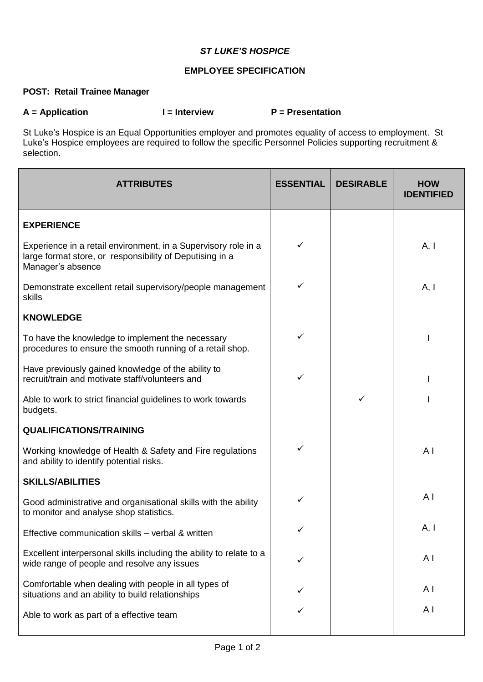## *ST LUKE'S HOSPICE*

## **EMPLOYEE SPECIFICATION**

## **POST: Retail Trainee Manager**

A = Application **I** = Interview **P** = Presentation

St Luke's Hospice is an Equal Opportunities employer and promotes equality of access to employment. St Luke's Hospice employees are required to follow the specific Personnel Policies supporting recruitment & selection.

| <b>ATTRIBUTES</b>                                                                                                                               | <b>ESSENTIAL</b> | <b>DESIRABLE</b> | <b>HOW</b><br><b>IDENTIFIED</b> |
|-------------------------------------------------------------------------------------------------------------------------------------------------|------------------|------------------|---------------------------------|
| <b>EXPERIENCE</b>                                                                                                                               |                  |                  |                                 |
| Experience in a retail environment, in a Supervisory role in a<br>large format store, or responsibility of Deputising in a<br>Manager's absence | ✓                |                  | A, I                            |
| Demonstrate excellent retail supervisory/people management<br>skills                                                                            |                  |                  | A, I                            |
| <b>KNOWLEDGE</b>                                                                                                                                |                  |                  |                                 |
| To have the knowledge to implement the necessary<br>procedures to ensure the smooth running of a retail shop.                                   | ✓                |                  |                                 |
| Have previously gained knowledge of the ability to<br>recruit/train and motivate staff/volunteers and                                           | ✓                |                  |                                 |
| Able to work to strict financial guidelines to work towards<br>budgets.                                                                         |                  | ✓                |                                 |
| <b>QUALIFICATIONS/TRAINING</b>                                                                                                                  |                  |                  |                                 |
| Working knowledge of Health & Safety and Fire regulations<br>and ability to identify potential risks.                                           | ✓                |                  | A <sub>1</sub>                  |
| <b>SKILLS/ABILITIES</b>                                                                                                                         |                  |                  |                                 |
| Good administrative and organisational skills with the ability<br>to monitor and analyse shop statistics.                                       |                  |                  | A <sub>l</sub>                  |
| Effective communication skills - verbal & written                                                                                               | ✓                |                  | A, I                            |
| Excellent interpersonal skills including the ability to relate to a<br>wide range of people and resolve any issues                              | ✓                |                  | A <sub>1</sub>                  |
| Comfortable when dealing with people in all types of<br>situations and an ability to build relationships                                        |                  |                  | AI                              |
| Able to work as part of a effective team                                                                                                        |                  |                  | A <sub>l</sub>                  |